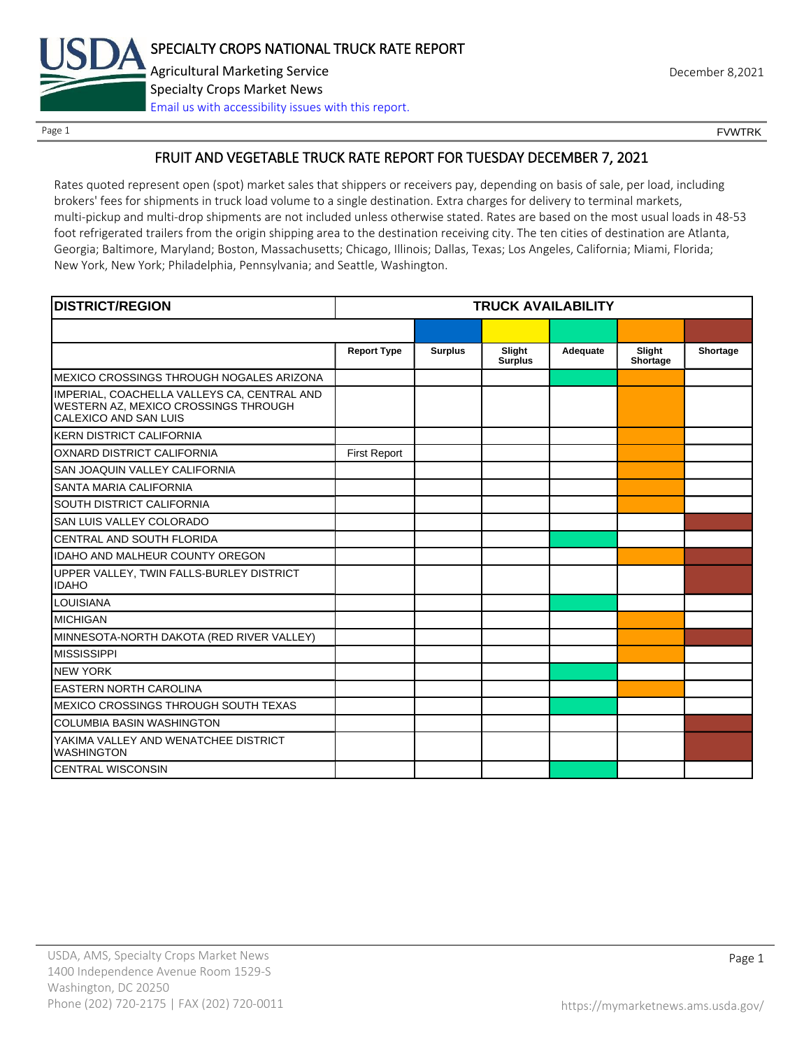

Page 1 FOUNTRK CONTROL CONTROL CONTROL CONTROL CONTROL CONTROL CONTROL CONTROL CONTROL CONTROL CONTROL CONTROL CONTROL CONTROL CONTROL CONTROL CONTROL CONTROL CONTROL CONTROL CONTROL CONTROL CONTROL CONTROL CONTROL CONTROL

## FRUIT AND VEGETABLE TRUCK RATE REPORT FOR TUESDAY DECEMBER 7, 2021

Rates quoted represent open (spot) market sales that shippers or receivers pay, depending on basis of sale, per load, including brokers' fees for shipments in truck load volume to a single destination. Extra charges for delivery to terminal markets, multi-pickup and multi-drop shipments are not included unless otherwise stated. Rates are based on the most usual loads in 48-53 foot refrigerated trailers from the origin shipping area to the destination receiving city. The ten cities of destination are Atlanta, Georgia; Baltimore, Maryland; Boston, Massachusetts; Chicago, Illinois; Dallas, Texas; Los Angeles, California; Miami, Florida; New York, New York; Philadelphia, Pennsylvania; and Seattle, Washington.

| <b>DISTRICT/REGION</b>                                                                                       | <b>TRUCK AVAILABILITY</b> |                |                          |          |                    |          |
|--------------------------------------------------------------------------------------------------------------|---------------------------|----------------|--------------------------|----------|--------------------|----------|
|                                                                                                              |                           |                |                          |          |                    |          |
|                                                                                                              | <b>Report Type</b>        | <b>Surplus</b> | Slight<br><b>Surplus</b> | Adequate | Slight<br>Shortage | Shortage |
| MEXICO CROSSINGS THROUGH NOGALES ARIZONA                                                                     |                           |                |                          |          |                    |          |
| IMPERIAL, COACHELLA VALLEYS CA, CENTRAL AND<br>WESTERN AZ, MEXICO CROSSINGS THROUGH<br>CALEXICO AND SAN LUIS |                           |                |                          |          |                    |          |
| <b>KERN DISTRICT CALIFORNIA</b>                                                                              |                           |                |                          |          |                    |          |
| OXNARD DISTRICT CALIFORNIA                                                                                   | <b>First Report</b>       |                |                          |          |                    |          |
| SAN JOAQUIN VALLEY CALIFORNIA                                                                                |                           |                |                          |          |                    |          |
| SANTA MARIA CALIFORNIA                                                                                       |                           |                |                          |          |                    |          |
| SOUTH DISTRICT CALIFORNIA                                                                                    |                           |                |                          |          |                    |          |
| SAN LUIS VALLEY COLORADO                                                                                     |                           |                |                          |          |                    |          |
| CENTRAL AND SOUTH FLORIDA                                                                                    |                           |                |                          |          |                    |          |
| <b>IDAHO AND MALHEUR COUNTY OREGON</b>                                                                       |                           |                |                          |          |                    |          |
| UPPER VALLEY, TWIN FALLS-BURLEY DISTRICT<br><b>IDAHO</b>                                                     |                           |                |                          |          |                    |          |
| <b>LOUISIANA</b>                                                                                             |                           |                |                          |          |                    |          |
| <b>MICHIGAN</b>                                                                                              |                           |                |                          |          |                    |          |
| MINNESOTA-NORTH DAKOTA (RED RIVER VALLEY)                                                                    |                           |                |                          |          |                    |          |
| <b>MISSISSIPPI</b>                                                                                           |                           |                |                          |          |                    |          |
| <b>NEW YORK</b>                                                                                              |                           |                |                          |          |                    |          |
| <b>EASTERN NORTH CAROLINA</b>                                                                                |                           |                |                          |          |                    |          |
| MEXICO CROSSINGS THROUGH SOUTH TEXAS                                                                         |                           |                |                          |          |                    |          |
| <b>COLUMBIA BASIN WASHINGTON</b>                                                                             |                           |                |                          |          |                    |          |
| YAKIMA VALLEY AND WENATCHEE DISTRICT<br><b>WASHINGTON</b>                                                    |                           |                |                          |          |                    |          |
| <b>CENTRAL WISCONSIN</b>                                                                                     |                           |                |                          |          |                    |          |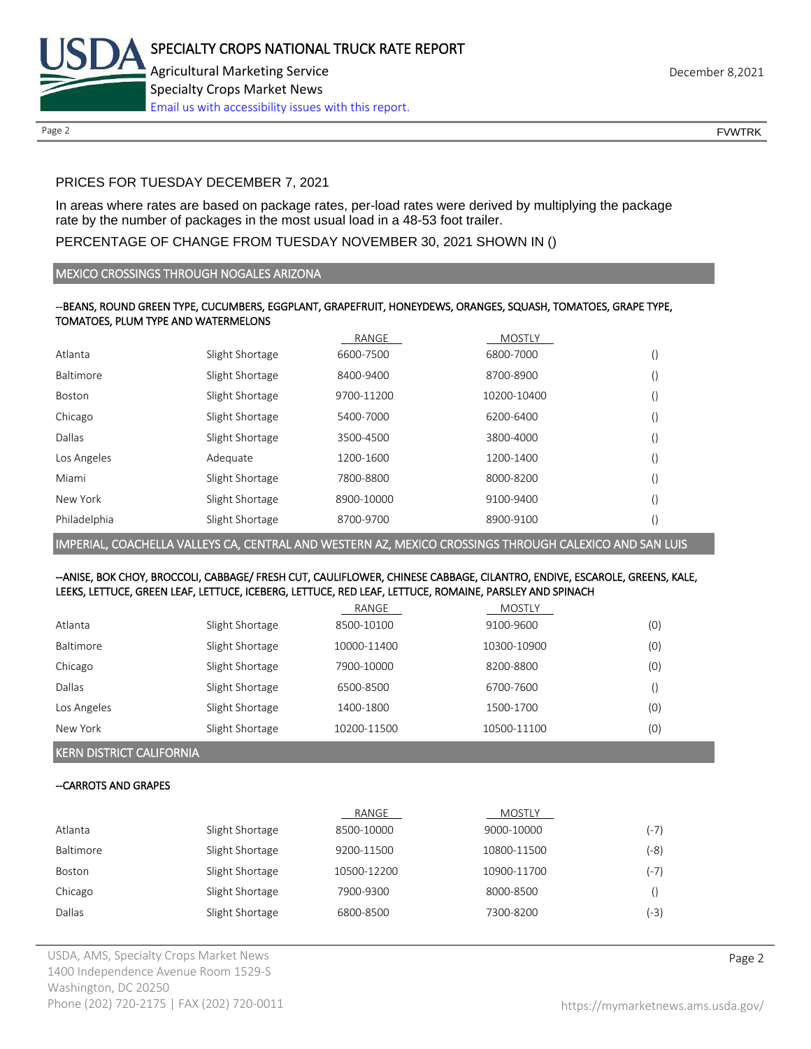

Page 2 FOUNTRK CONTROL CONTROL CONTROL CONTROL CONTROL CONTROL CONTROL CONTROL CONTROL CONTROL CONTROL CONTROL CONTROL CONTROL CONTROL CONTROL CONTROL CONTROL CONTROL CONTROL CONTROL CONTROL CONTROL CONTROL CONTROL CONTROL

## PRICES FOR TUESDAY DECEMBER 7, 2021

In areas where rates are based on package rates, per-load rates were derived by multiplying the package rate by the number of packages in the most usual load in a 48-53 foot trailer.

## PERCENTAGE OF CHANGE FROM TUESDAY NOVEMBER 30, 2021 SHOWN IN ()

### MEXICO CROSSINGS THROUGH NOGALES ARIZONA

## --BEANS, ROUND GREEN TYPE, CUCUMBERS, EGGPLANT, GRAPEFRUIT, HONEYDEWS, ORANGES, SQUASH, TOMATOES, GRAPE TYPE, TOMATOES, PLUM TYPE AND WATERMELONS

|              |                 | RANGE      | <b>MOSTLY</b> |                  |
|--------------|-----------------|------------|---------------|------------------|
| Atlanta      | Slight Shortage | 6600-7500  | 6800-7000     | ()               |
| Baltimore    | Slight Shortage | 8400-9400  | 8700-8900     | ()               |
| Boston       | Slight Shortage | 9700-11200 | 10200-10400   | ()               |
| Chicago      | Slight Shortage | 5400-7000  | 6200-6400     | ()               |
| Dallas       | Slight Shortage | 3500-4500  | 3800-4000     | ()               |
| Los Angeles  | Adequate        | 1200-1600  | 1200-1400     | ()               |
| Miami        | Slight Shortage | 7800-8800  | 8000-8200     | ()               |
| New York     | Slight Shortage | 8900-10000 | 9100-9400     | ()               |
| Philadelphia | Slight Shortage | 8700-9700  | 8900-9100     | $\left( \right)$ |

IMPERIAL, COACHELLA VALLEYS CA, CENTRAL AND WESTERN AZ, MEXICO CROSSINGS THROUGH CALEXICO AND SAN LUIS

#### --ANISE, BOK CHOY, BROCCOLI, CABBAGE/ FRESH CUT, CAULIFLOWER, CHINESE CABBAGE, CILANTRO, ENDIVE, ESCAROLE, GREENS, KALE, LEEKS, LETTUCE, GREEN LEAF, LETTUCE, ICEBERG, LETTUCE, RED LEAF, LETTUCE, ROMAINE, PARSLEY AND SPINACH

|             |                 | RANGE       | <b>MOSTLY</b> |     |
|-------------|-----------------|-------------|---------------|-----|
| Atlanta     | Slight Shortage | 8500-10100  | 9100-9600     | (0) |
| Baltimore   | Slight Shortage | 10000-11400 | 10300-10900   | (0) |
| Chicago     | Slight Shortage | 7900-10000  | 8200-8800     | (0) |
| Dallas      | Slight Shortage | 6500-8500   | 6700-7600     |     |
| Los Angeles | Slight Shortage | 1400-1800   | 1500-1700     | (0) |
| New York    | Slight Shortage | 10200-11500 | 10500-11100   | (0) |

KERN DISTRICT CALIFORNIA

### --CARROTS AND GRAPES

|                  |                 | RANGE       | <b>MOSTLY</b> |        |
|------------------|-----------------|-------------|---------------|--------|
| Atlanta          | Slight Shortage | 8500-10000  | 9000-10000    | $(-7)$ |
| <b>Baltimore</b> | Slight Shortage | 9200-11500  | 10800-11500   | (-8)   |
| <b>Boston</b>    | Slight Shortage | 10500-12200 | 10900-11700   | (-7)   |
| Chicago          | Slight Shortage | 7900-9300   | 8000-8500     |        |
| Dallas           | Slight Shortage | 6800-8500   | 7300-8200     | (3- )  |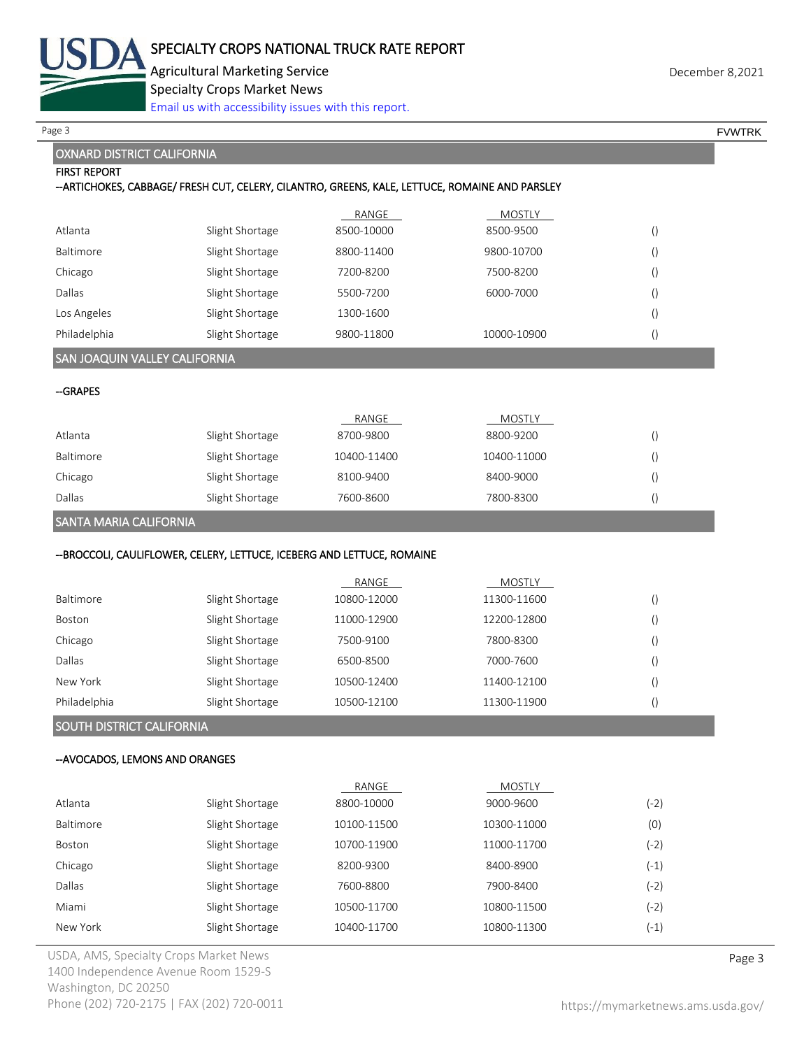

Specialty Crops Market News

[Email us with accessibility issues with this report.](mailto:mars@ams.usda.gov?subject=508%20Inquiry/Report)

### OXNARD DISTRICT CALIFORNIA

# FIRST REPORT --ARTICHOKES, CABBAGE/ FRESH CUT, CELERY, CILANTRO, GREENS, KALE, LETTUCE, ROMAINE AND PARSLEY RANGE MOSTLY Atlanta Slight Shortage 8500-10000 8500-9500 () Baltimore Slight Shortage 8800-11400 9800-10700 () Chicago Slight Shortage 7200-8200 7500-8200 () Dallas Slight Shortage 5500-7200 6000-7000 () Los Angeles Slight Shortage 1300-1600 () Philadelphia Slight Shortage 9800-11800 10000-10900 () SAN JOAQUIN VALLEY CALIFORNIA --GRAPES RANGE MOSTLY Atlanta Slight Shortage 8700-9800 8800-9200 () Baltimore 5light Shortage 10400-11400 10400-11000 () Chicago Slight Shortage 8100-9400 8400-9000 () Dallas Slight Shortage 7600-8600 7800-8300 () SANTA MARIA CALIFORNIA --BROCCOLI, CAULIFLOWER, CELERY, LETTUCE, ICEBERG AND LETTUCE, ROMAINE RANGE MOSTLY Baltimore 5light Shortage 10800-12000 11300-11600 () Boston Slight Shortage 11000-12900 12200-12800 () Chicago Slight Shortage 7500-9100 7800-8300 () Dallas Slight Shortage 6500-8500 7000-7600 () New York Slight Shortage 10500-12400 11400-12100 () Philadelphia Slight Shortage 10500-12100 11300-11900 () SOUTH DISTRICT CALIFORNIA --AVOCADOS, LEMONS AND ORANGES RANGE MOSTLY Atlanta Slight Shortage 8800-10000 9000-9600 (-2) Baltimore 5light Shortage 10100-11500 10300-11000 10300-11000 (0) Boston Slight Shortage 10700-11900 11000-11700 (-2) Chicago Slight Shortage 8200-9300 8400-8900 (-1) Dallas Slight Shortage 7600-8800 7900-8400 (-2) Miami Slight Shortage 10500-11700 10800-11500 (-2) New York Slight Shortage 10400-11700 10800-11300 (-1) Page 3 FOUNTRK And the set of the set of the set of the set of the set of the set of the set of the set of the set of the set of the set of the set of the set of the set of the set of the set of the set of the set of the s

USDA, AMS, Specialty Crops Market News **Page 3** 1400 Independence Avenue Room 1529-S Washington, DC 20250 Phone (202) 720-2175 | FAX (202) 720-0011 <https://mymarketnews.ams.usda.gov/>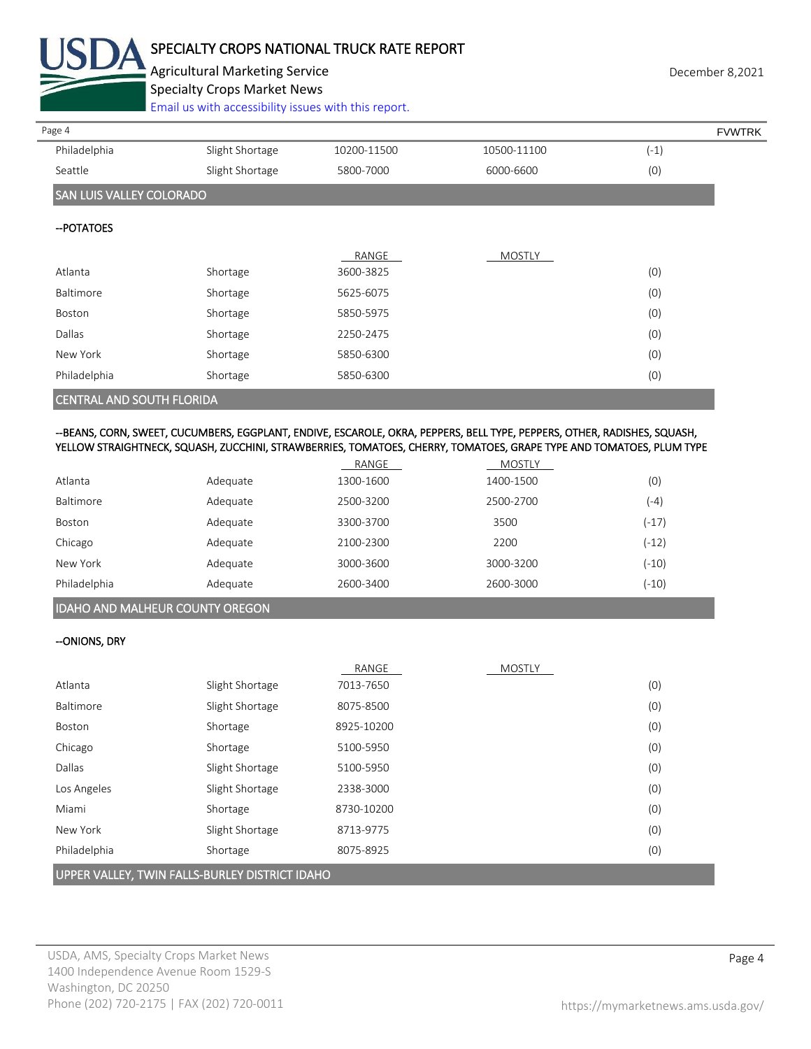

## SPECIALTY CROPS NATIONAL TRUCK RATE REPORT

Agricultural Marketing Service **December 8,2021 December 8,2021** 

Specialty Crops Market News

[Email us with accessibility issues with this report.](mailto:mars@ams.usda.gov?subject=508%20Inquiry/Report)

| Page 4                           |                 |             |               | <b>FVWTRK</b> |
|----------------------------------|-----------------|-------------|---------------|---------------|
| Philadelphia                     | Slight Shortage | 10200-11500 | 10500-11100   | $(-1)$        |
| Seattle                          | Slight Shortage | 5800-7000   | 6000-6600     | (0)           |
| <b>SAN LUIS VALLEY COLORADO</b>  |                 |             |               |               |
| -- POTATOES                      |                 |             |               |               |
|                                  |                 | RANGE       | <b>MOSTLY</b> |               |
| Atlanta                          | Shortage        | 3600-3825   |               | (0)           |
| Baltimore                        | Shortage        | 5625-6075   |               | (0)           |
| Boston                           | Shortage        | 5850-5975   |               | (0)           |
| Dallas                           | Shortage        | 2250-2475   |               | (0)           |
| New York                         | Shortage        | 5850-6300   |               | (0)           |
| Philadelphia                     | Shortage        | 5850-6300   |               | (0)           |
| <b>CENTRAL AND SOUTH FLORIDA</b> |                 |             |               |               |

## --BEANS, CORN, SWEET, CUCUMBERS, EGGPLANT, ENDIVE, ESCAROLE, OKRA, PEPPERS, BELL TYPE, PEPPERS, OTHER, RADISHES, SQUASH, YELLOW STRAIGHTNECK, SQUASH, ZUCCHINI, STRAWBERRIES, TOMATOES, CHERRY, TOMATOES, GRAPE TYPE AND TOMATOES, PLUM TYPE

|              |          | RANGE     | <b>MOSTLY</b> |         |
|--------------|----------|-----------|---------------|---------|
| Atlanta      | Adequate | 1300-1600 | 1400-1500     | (0)     |
| Baltimore    | Adequate | 2500-3200 | 2500-2700     | (-4)    |
| Boston       | Adequate | 3300-3700 | 3500          | $(-17)$ |
| Chicago      | Adequate | 2100-2300 | 2200          | $(-12)$ |
| New York     | Adequate | 3000-3600 | 3000-3200     | $(-10)$ |
| Philadelphia | Adequate | 2600-3400 | 2600-3000     | $(-10)$ |

## IDAHO AND MALHEUR COUNTY OREGON

## --ONIONS, DRY

|                                                |                 | RANGE      | <b>MOSTLY</b> |     |
|------------------------------------------------|-----------------|------------|---------------|-----|
| Atlanta                                        | Slight Shortage | 7013-7650  |               | (0) |
| Baltimore                                      | Slight Shortage | 8075-8500  |               | (0) |
| Boston                                         | Shortage        | 8925-10200 |               | (0) |
| Chicago                                        | Shortage        | 5100-5950  |               | (0) |
| Dallas                                         | Slight Shortage | 5100-5950  |               | (0) |
| Los Angeles                                    | Slight Shortage | 2338-3000  |               | (0) |
| Miami                                          | Shortage        | 8730-10200 |               | (0) |
| New York                                       | Slight Shortage | 8713-9775  |               | (0) |
| Philadelphia                                   | Shortage        | 8075-8925  |               | (0) |
| UPPER VALLEY, TWIN FALLS-BURLEY DISTRICT IDAHO |                 |            |               |     |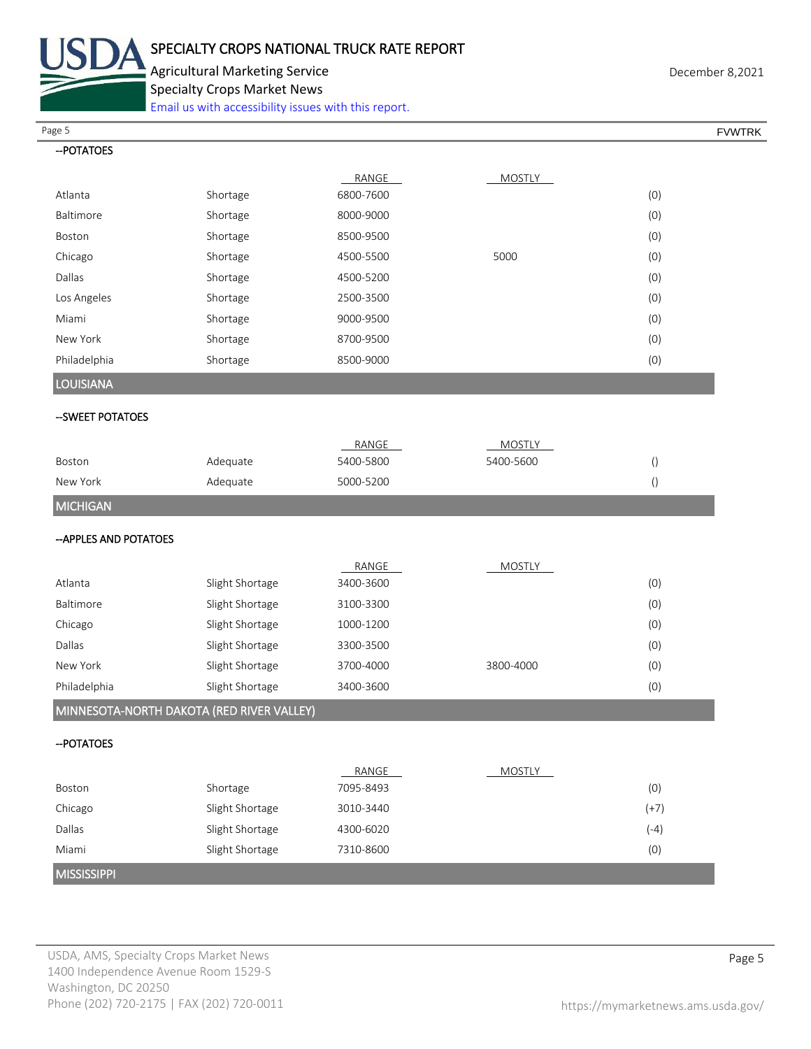

Agricultural Marketing Service **December 8,2021 December 8,2021** Specialty Crops Market News

[Email us with accessibility issues with this report.](mailto:mars@ams.usda.gov?subject=508%20Inquiry/Report)

Page 5 FOUNTRK And the set of the set of the set of the set of the set of the set of the set of the set of the set of the set of the set of the set of the set of the set of the set of the set of the set of the set of the s

| -- POTATOES                               |                 |           |               |                  |
|-------------------------------------------|-----------------|-----------|---------------|------------------|
|                                           |                 | RANGE     | <b>MOSTLY</b> |                  |
| Atlanta                                   | Shortage        | 6800-7600 |               | (0)              |
| Baltimore                                 | Shortage        | 8000-9000 |               | (0)              |
| Boston                                    | Shortage        | 8500-9500 |               | (0)              |
| Chicago                                   | Shortage        | 4500-5500 | 5000          | (0)              |
| Dallas                                    | Shortage        | 4500-5200 |               | (0)              |
| Los Angeles                               | Shortage        | 2500-3500 |               | (0)              |
| Miami                                     | Shortage        | 9000-9500 |               | (0)              |
| New York                                  | Shortage        | 8700-9500 |               | (0)              |
| Philadelphia                              | Shortage        | 8500-9000 |               | (0)              |
| <b>LOUISIANA</b>                          |                 |           |               |                  |
| -- SWEET POTATOES                         |                 |           |               |                  |
|                                           |                 | RANGE     | <b>MOSTLY</b> |                  |
| Boston                                    | Adequate        | 5400-5800 | 5400-5600     | $\left( \right)$ |
| New York                                  | Adequate        | 5000-5200 |               | $\left( \right)$ |
| <b>MICHIGAN</b>                           |                 |           |               |                  |
| -- APPLES AND POTATOES                    |                 |           |               |                  |
|                                           |                 | RANGE     | <b>MOSTLY</b> |                  |
| Atlanta                                   | Slight Shortage | 3400-3600 |               | (0)              |
| Baltimore                                 | Slight Shortage | 3100-3300 |               | (0)              |
| Chicago                                   | Slight Shortage | 1000-1200 |               | (0)              |
| Dallas                                    | Slight Shortage | 3300-3500 |               | (0)              |
| New York                                  | Slight Shortage | 3700-4000 | 3800-4000     | (0)              |
| Philadelphia                              | Slight Shortage | 3400-3600 |               | (0)              |
| MINNESOTA-NORTH DAKOTA (RED RIVER VALLEY) |                 |           |               |                  |
| -- POTATOES                               |                 |           |               |                  |
|                                           |                 | RANGE     | <b>MOSTLY</b> |                  |
| Boston                                    | Shortage        | 7095-8493 |               | (0)              |
| Chicago                                   | Slight Shortage | 3010-3440 |               | $(+7)$           |
| Dallas                                    | Slight Shortage | 4300-6020 |               | $(-4)$           |
| Miami                                     | Slight Shortage | 7310-8600 |               | (0)              |
| <b>MISSISSIPPI</b>                        |                 |           |               |                  |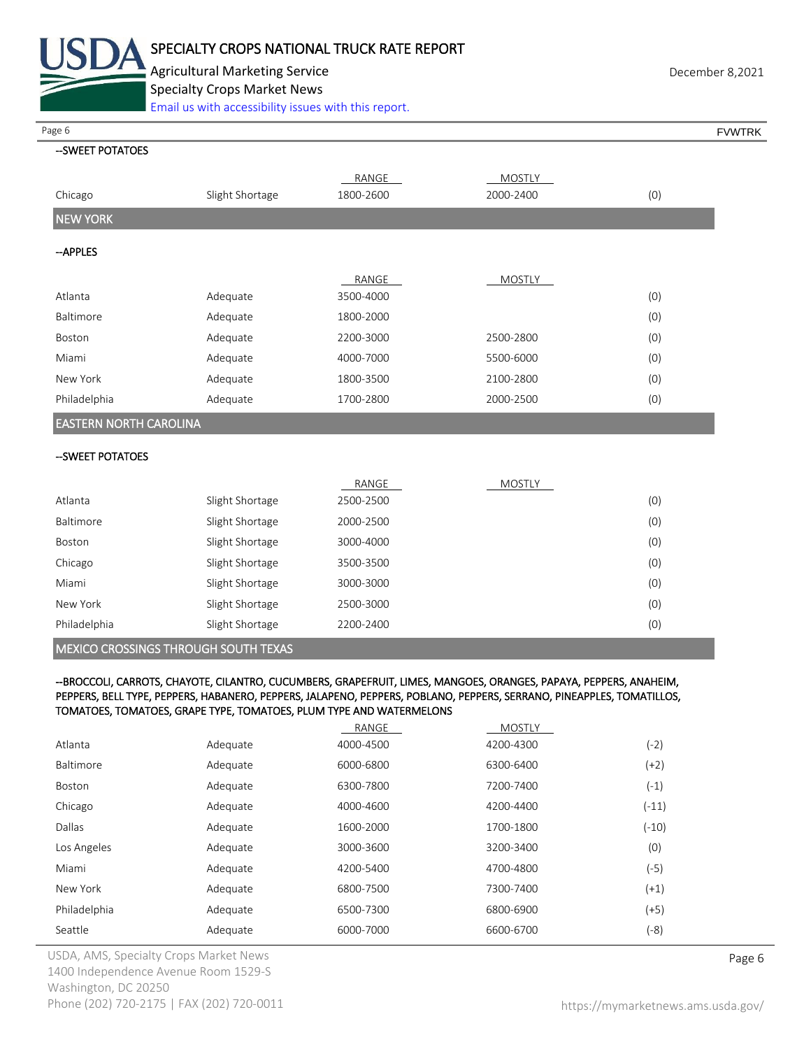

Agricultural Marketing Service **December 8,2021 December 8,2021** Specialty Crops Market News

[Email us with accessibility issues with this report.](mailto:mars@ams.usda.gov?subject=508%20Inquiry/Report)

Page 6 FVWTRK

## --SWEET POTATOES

|                               |                 | RANGE     | <b>MOSTLY</b> |     |  |  |
|-------------------------------|-----------------|-----------|---------------|-----|--|--|
| Chicago                       | Slight Shortage | 1800-2600 | 2000-2400     | (0) |  |  |
| <b>NEW YORK</b>               |                 |           |               |     |  |  |
| --APPLES                      |                 |           |               |     |  |  |
|                               |                 | RANGE     | <b>MOSTLY</b> |     |  |  |
| Atlanta                       | Adequate        | 3500-4000 |               | (0) |  |  |
| Baltimore                     | Adequate        | 1800-2000 |               | (0) |  |  |
| Boston                        | Adequate        | 2200-3000 | 2500-2800     | (0) |  |  |
| Miami                         | Adequate        | 4000-7000 | 5500-6000     | (0) |  |  |
| New York                      | Adequate        | 1800-3500 | 2100-2800     | (0) |  |  |
| Philadelphia                  | Adequate        | 1700-2800 | 2000-2500     | (0) |  |  |
| <b>EASTERN NORTH CAROLINA</b> |                 |           |               |     |  |  |

## --SWEET POTATOES

|              |                 | RANGE     | <b>MOSTLY</b> |     |
|--------------|-----------------|-----------|---------------|-----|
| Atlanta      | Slight Shortage | 2500-2500 |               | (0) |
| Baltimore    | Slight Shortage | 2000-2500 |               | (0) |
| Boston       | Slight Shortage | 3000-4000 |               | (0) |
| Chicago      | Slight Shortage | 3500-3500 |               | (0) |
| Miami        | Slight Shortage | 3000-3000 |               | (0) |
| New York     | Slight Shortage | 2500-3000 |               | (0) |
| Philadelphia | Slight Shortage | 2200-2400 |               | (0) |

## MEXICO CROSSINGS THROUGH SOUTH TEXAS

#### --BROCCOLI, CARROTS, CHAYOTE, CILANTRO, CUCUMBERS, GRAPEFRUIT, LIMES, MANGOES, ORANGES, PAPAYA, PEPPERS, ANAHEIM, PEPPERS, BELL TYPE, PEPPERS, HABANERO, PEPPERS, JALAPENO, PEPPERS, POBLANO, PEPPERS, SERRANO, PINEAPPLES, TOMATILLOS, TOMATOES, TOMATOES, GRAPE TYPE, TOMATOES, PLUM TYPE AND WATERMELONS

|                  |          | RANGE     | <b>MOSTLY</b> |         |
|------------------|----------|-----------|---------------|---------|
| Atlanta          | Adequate | 4000-4500 | 4200-4300     | (-2)    |
| <b>Baltimore</b> | Adequate | 6000-6800 | 6300-6400     | (+2)    |
| Boston           | Adequate | 6300-7800 | 7200-7400     | $(-1)$  |
| Chicago          | Adequate | 4000-4600 | 4200-4400     | $(-11)$ |
| Dallas           | Adequate | 1600-2000 | 1700-1800     | $(-10)$ |
| Los Angeles      | Adequate | 3000-3600 | 3200-3400     | (0)     |
| Miami            | Adequate | 4200-5400 | 4700-4800     | (-5)    |
| New York         | Adequate | 6800-7500 | 7300-7400     | $(+1)$  |
| Philadelphia     | Adequate | 6500-7300 | 6800-6900     | $(+5)$  |
| Seattle          | Adequate | 6000-7000 | 6600-6700     | (-8)    |
|                  |          |           |               |         |

USDA, AMS, Specialty Crops Market News **Page 6** 1400 Independence Avenue Room 1529-S Washington, DC 20250 Phone (202) 720-2175 | FAX (202) 720-0011 <https://mymarketnews.ams.usda.gov/>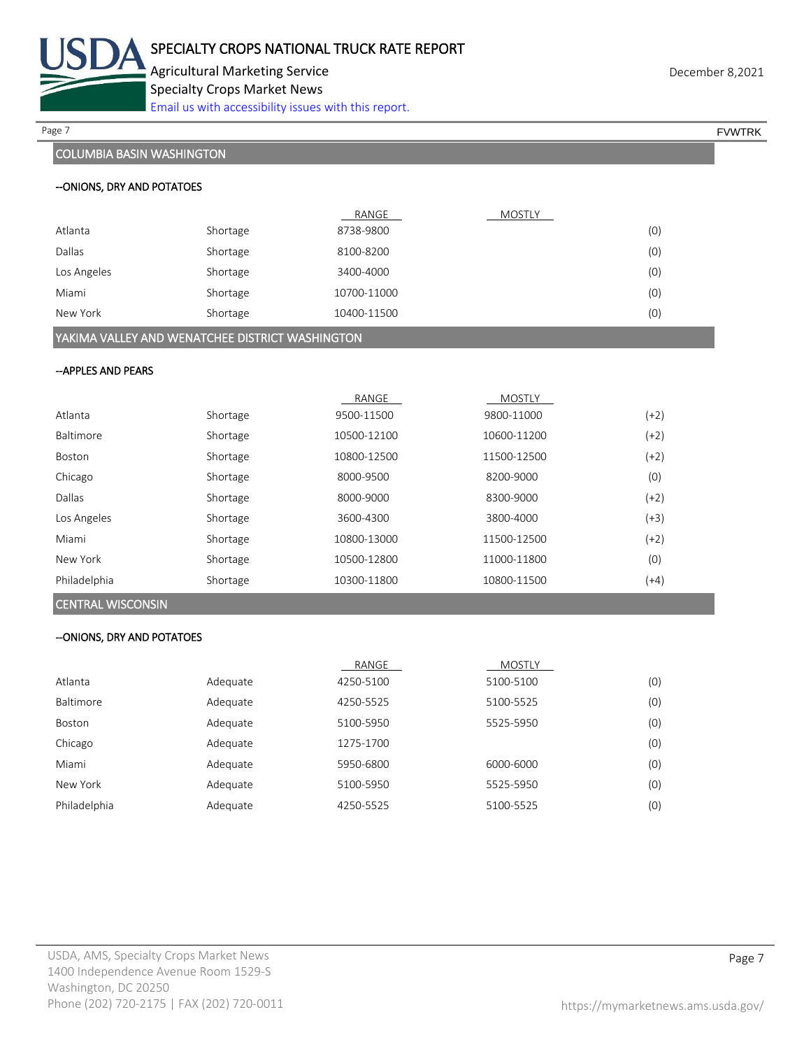

Agricultural Marketing Service **December 8,2021 December 8,2021** Specialty Crops Market News [Email us with accessibility issues with this report.](mailto:mars@ams.usda.gov?subject=508%20Inquiry/Report)

## COLUMBIA BASIN WASHINGTON

| Page 7 | <b>FVWTRK</b> |
|--------|---------------|
|--------|---------------|

## --ONIONS, DRY AND POTATOES

|                                                                                                                                                                                                                                                                                                                                                                                                                                                                                                                                        |          | RANGE       | MOSTLY |     |  |  |
|----------------------------------------------------------------------------------------------------------------------------------------------------------------------------------------------------------------------------------------------------------------------------------------------------------------------------------------------------------------------------------------------------------------------------------------------------------------------------------------------------------------------------------------|----------|-------------|--------|-----|--|--|
| Atlanta                                                                                                                                                                                                                                                                                                                                                                                                                                                                                                                                | Shortage | 8738-9800   |        | (0) |  |  |
| Dallas                                                                                                                                                                                                                                                                                                                                                                                                                                                                                                                                 | Shortage | 8100-8200   |        | (0) |  |  |
| Los Angeles                                                                                                                                                                                                                                                                                                                                                                                                                                                                                                                            | Shortage | 3400-4000   |        | (0) |  |  |
| Miami                                                                                                                                                                                                                                                                                                                                                                                                                                                                                                                                  | Shortage | 10700-11000 |        | (0) |  |  |
| New York                                                                                                                                                                                                                                                                                                                                                                                                                                                                                                                               | Shortage | 10400-11500 |        | (0) |  |  |
| $\mathcal{N} = \{ \mathcal{N} \mid \mathcal{N} \in \mathcal{N} \text{ and } \mathcal{N} \text{ is a non-adjoint of } \mathcal{N} \text{ is a non-adjoint of } \mathcal{N} \text{ is a non-adjoint of } \mathcal{N} \text{ is a non-adjoint of } \mathcal{N} \text{ is a non-adjoint of } \mathcal{N} \text{ is a non-adjoint of } \mathcal{N} \text{ is a non-adjoint of } \mathcal{N} \text{ is a non-adjoint of } \mathcal{N} \text{ is a non-adjoint of } \mathcal{N} \text{ is a non-adjoint of } \mathcal{N} \text{ is a non-adj$ |          |             |        |     |  |  |

YAKIMA VALLEY AND WENATCHEE DISTRICT WASHINGTON

## --APPLES AND PEARS

|              |          | RANGE       | <b>MOSTLY</b> |        |
|--------------|----------|-------------|---------------|--------|
| Atlanta      | Shortage | 9500-11500  | 9800-11000    | (+2)   |
| Baltimore    | Shortage | 10500-12100 | 10600-11200   | (+2)   |
| Boston       | Shortage | 10800-12500 | 11500-12500   | $(+2)$ |
| Chicago      | Shortage | 8000-9500   | 8200-9000     | (0)    |
| Dallas       | Shortage | 8000-9000   | 8300-9000     | $(+2)$ |
| Los Angeles  | Shortage | 3600-4300   | 3800-4000     | (+3)   |
| Miami        | Shortage | 10800-13000 | 11500-12500   | $(+2)$ |
| New York     | Shortage | 10500-12800 | 11000-11800   | (0)    |
| Philadelphia | Shortage | 10300-11800 | 10800-11500   | (+4)   |

## CENTRAL WISCONSIN

### --ONIONS, DRY AND POTATOES

|              |          | RANGE     | <b>MOSTLY</b> |     |
|--------------|----------|-----------|---------------|-----|
| Atlanta      | Adequate | 4250-5100 | 5100-5100     | (0) |
| Baltimore    | Adequate | 4250-5525 | 5100-5525     | (0) |
| Boston       | Adequate | 5100-5950 | 5525-5950     | (0) |
| Chicago      | Adequate | 1275-1700 |               | (0) |
| Miami        | Adequate | 5950-6800 | 6000-6000     | (0) |
| New York     | Adequate | 5100-5950 | 5525-5950     | (0) |
| Philadelphia | Adequate | 4250-5525 | 5100-5525     | (0) |